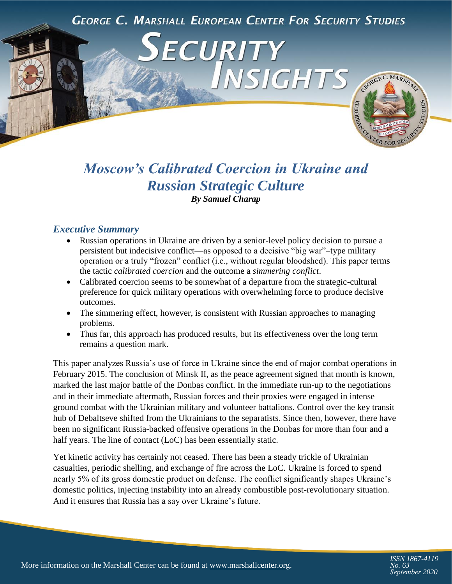**GEORGE C. MARSHALL EUROPEAN CENTER FOR SECURITY STUDIES** 

ECURITY

# INSIGHTS CEORGE C. MARSHAL R<sub>FOR</sub>

# *Moscow's Calibrated Coercion in Ukraine and Russian Strategic Culture By Samuel Charap*

# *Executive Summary*

- Russian operations in Ukraine are driven by a senior-level policy decision to pursue a persistent but indecisive conflict—as opposed to a decisive "big war"–type military operation or a truly "frozen" conflict (i.e., without regular bloodshed). This paper terms the tactic *calibrated coercion* and the outcome a *simmering conflict*.
- Calibrated coercion seems to be somewhat of a departure from the strategic-cultural preference for quick military operations with overwhelming force to produce decisive outcomes.
- The simmering effect, however, is consistent with Russian approaches to managing problems.
- Thus far, this approach has produced results, but its effectiveness over the long term remains a question mark.

This paper analyzes Russia's use of force in Ukraine since the end of major combat operations in February 2015. The conclusion of Minsk II, as the peace agreement signed that month is known, marked the last major battle of the Donbas conflict. In the immediate run-up to the negotiations and in their immediate aftermath, Russian forces and their proxies were engaged in intense ground combat with the Ukrainian military and volunteer battalions. Control over the key transit hub of Debaltseve shifted from the Ukrainians to the separatists. Since then, however, there have been no significant Russia-backed offensive operations in the Donbas for more than four and a half years. The line of contact (LoC) has been essentially static.

Yet kinetic activity has certainly not ceased. There has been a steady trickle of Ukrainian casualties, periodic shelling, and exchange of fire across the LoC. Ukraine is forced to spend nearly 5% of its gross domestic product on defense. The conflict significantly shapes Ukraine's domestic politics, injecting instability into an already combustible post-revolutionary situation. And it ensures that Russia has a say over Ukraine's future.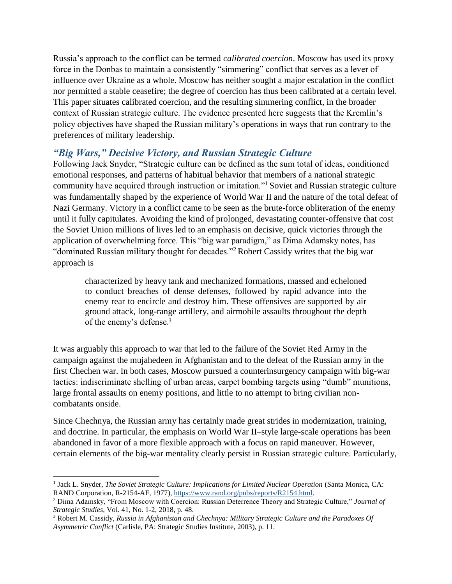Russia's approach to the conflict can be termed *calibrated coercion*. Moscow has used its proxy force in the Donbas to maintain a consistently "simmering" conflict that serves as a lever of influence over Ukraine as a whole. Moscow has neither sought a major escalation in the conflict nor permitted a stable ceasefire; the degree of coercion has thus been calibrated at a certain level. This paper situates calibrated coercion, and the resulting simmering conflict, in the broader context of Russian strategic culture. The evidence presented here suggests that the Kremlin's policy objectives have shaped the Russian military's operations in ways that run contrary to the preferences of military leadership.

# *"Big Wars," Decisive Victory, and Russian Strategic Culture*

Following Jack Snyder, "Strategic culture can be defined as the sum total of ideas, conditioned emotional responses, and patterns of habitual behavior that members of a national strategic community have acquired through instruction or imitation."<sup>1</sup> Soviet and Russian strategic culture was fundamentally shaped by the experience of World War II and the nature of the total defeat of Nazi Germany. Victory in a conflict came to be seen as the brute-force obliteration of the enemy until it fully capitulates. Avoiding the kind of prolonged, devastating counter-offensive that cost the Soviet Union millions of lives led to an emphasis on decisive, quick victories through the application of overwhelming force. This "big war paradigm," as Dima Adamsky notes, has "dominated Russian military thought for decades."<sup>2</sup> Robert Cassidy writes that the big war approach is

characterized by heavy tank and mechanized formations, massed and echeloned to conduct breaches of dense defenses, followed by rapid advance into the enemy rear to encircle and destroy him. These offensives are supported by air ground attack, long-range artillery, and airmobile assaults throughout the depth of the enemy's defense*.* 3

It was arguably this approach to war that led to the failure of the Soviet Red Army in the campaign against the mujahedeen in Afghanistan and to the defeat of the Russian army in the first Chechen war. In both cases, Moscow pursued a counterinsurgency campaign with big-war tactics: indiscriminate shelling of urban areas, carpet bombing targets using "dumb" munitions, large frontal assaults on enemy positions, and little to no attempt to bring civilian noncombatants onside.

Since Chechnya, the Russian army has certainly made great strides in modernization, training, and doctrine. In particular, the emphasis on World War II–style large-scale operations has been abandoned in favor of a more flexible approach with a focus on rapid maneuver. However, certain elements of the big-war mentality clearly persist in Russian strategic culture. Particularly,

<sup>&</sup>lt;sup>1</sup> Jack L. Snyder, *The Soviet Strategic Culture: Implications for Limited Nuclear Operation* (Santa Monica, CA: RAND Corporation, R-2154-AF, 1977)[, https://www.rand.org/pubs/reports/R2154.html.](https://www.rand.org/pubs/reports/R2154.html)

<sup>2</sup> Dima Adamsky, "From Moscow with Coercion: Russian Deterrence Theory and Strategic Culture," *Journal of Strategic Studies*, Vol. 41, No. 1-2, 2018, p. 48.

<sup>3</sup> Robert M. Cassidy, *Russia in Afghanistan and Chechnya: Military Strategic Culture and the Paradoxes Of Asymmetric Conflict* (Carlisle, PA: Strategic Studies Institute, 2003), p. 11.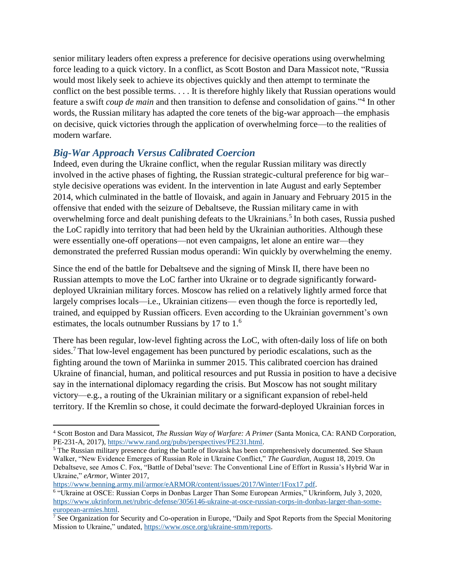senior military leaders often express a preference for decisive operations using overwhelming force leading to a quick victory. In a conflict, as Scott Boston and Dara Massicot note, "Russia would most likely seek to achieve its objectives quickly and then attempt to terminate the conflict on the best possible terms. . . . It is therefore highly likely that Russian operations would feature a swift *coup de main* and then transition to defense and consolidation of gains."<sup>4</sup> In other words, the Russian military has adapted the core tenets of the big-war approach—the emphasis on decisive, quick victories through the application of overwhelming force—to the realities of modern warfare.

# *Big-War Approach Versus Calibrated Coercion*

Indeed, even during the Ukraine conflict, when the regular Russian military was directly involved in the active phases of fighting, the Russian strategic-cultural preference for big war– style decisive operations was evident. In the intervention in late August and early September 2014, which culminated in the battle of Ilovaisk, and again in January and February 2015 in the offensive that ended with the seizure of Debaltseve, the Russian military came in with overwhelming force and dealt punishing defeats to the Ukrainians.<sup>5</sup> In both cases, Russia pushed the LoC rapidly into territory that had been held by the Ukrainian authorities. Although these were essentially one-off operations—not even campaigns, let alone an entire war—they demonstrated the preferred Russian modus operandi: Win quickly by overwhelming the enemy.

Since the end of the battle for Debaltseve and the signing of Minsk II, there have been no Russian attempts to move the LoC farther into Ukraine or to degrade significantly forwarddeployed Ukrainian military forces. Moscow has relied on a relatively lightly armed force that largely comprises locals—i.e., Ukrainian citizens— even though the force is reportedly led, trained, and equipped by Russian officers. Even according to the Ukrainian government's own estimates, the locals outnumber Russians by 17 to 1.<sup>6</sup>

There has been regular, low-level fighting across the LoC, with often-daily loss of life on both sides.<sup>7</sup> That low-level engagement has been punctured by periodic escalations, such as the fighting around the town of Mariinka in summer 2015. This calibrated coercion has drained Ukraine of financial, human, and political resources and put Russia in position to have a decisive say in the international diplomacy regarding the crisis. But Moscow has not sought military victory—e.g., a routing of the Ukrainian military or a significant expansion of rebel-held territory. If the Kremlin so chose, it could decimate the forward-deployed Ukrainian forces in

 $\overline{\phantom{a}}$ <sup>4</sup> Scott Boston and Dara Massicot, *The Russian Way of Warfare: A Primer* (Santa Monica, CA: RAND Corporation, PE-231-A, 2017), [https://www.rand.org/pubs/perspectives/PE231.html.](https://www.rand.org/pubs/perspectives/PE231.html)

<sup>&</sup>lt;sup>5</sup> The Russian military presence during the battle of Ilovaisk has been comprehensively documented. See Shaun Walker, "New Evidence Emerges of Russian Role in Ukraine Conflict," *The Guardian*, August 18, 2019. On Debaltseve, see Amos C. Fox, "Battle of Debal'tseve: The Conventional Line of Effort in Russia's Hybrid War in Ukraine," *eArmor*, Winter 2017,

[https://www.benning.army.mil/armor/eARMOR/content/issues/2017/Winter/1Fox17.pdf.](https://www.benning.army.mil/armor/eARMOR/content/issues/2017/Winter/1Fox17.pdf)

<sup>6</sup> "Ukraine at OSCE: Russian Corps in Donbas Larger Than Some European Armies," Ukrinform, July 3, 2020, [https://www.ukrinform.net/rubric-defense/3056146-ukraine-at-osce-russian-corps-in-donbas-larger-than-some](https://www.ukrinform.net/rubric-defense/3056146-ukraine-at-osce-russian-corps-in-donbas-larger-than-some-european-armies.html)[european-armies.html.](https://www.ukrinform.net/rubric-defense/3056146-ukraine-at-osce-russian-corps-in-donbas-larger-than-some-european-armies.html) 

<sup>&</sup>lt;sup>7</sup> See Organization for Security and Co-operation in Europe, "Daily and Spot Reports from the Special Monitoring Mission to Ukraine," undated, [https://www.osce.org/ukraine-smm/reports.](https://www.osce.org/ukraine-smm/reports)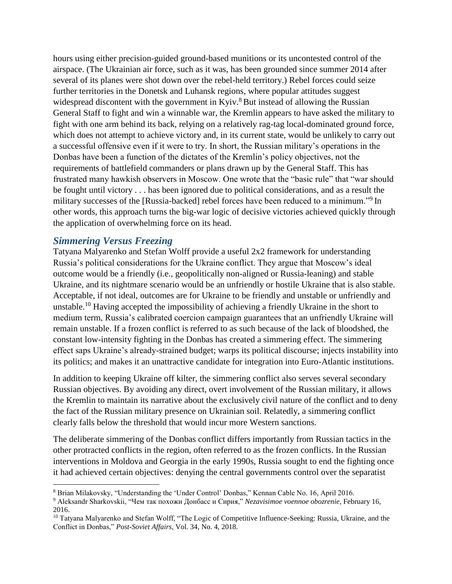hours using either precision-guided ground-based munitions or its uncontested control of the airspace. (The Ukrainian air force, such as it was, has been grounded since summer 2014 after several of its planes were shot down over the rebel-held territory.) Rebel forces could seize further territories in the Donetsk and Luhansk regions, where popular attitudes suggest widespread discontent with the government in  $Kyiv$ <sup>8</sup> But instead of allowing the Russian General Staff to fight and win a winnable war, the Kremlin appears to have asked the military to fight with one arm behind its back, relying on a relatively rag-tag local-dominated ground force, which does not attempt to achieve victory and, in its current state, would be unlikely to carry out a successful offensive even if it were to try. In short, the Russian military's operations in the Donbas have been a function of the dictates of the Kremlin's policy objectives, not the requirements of battlefield commanders or plans drawn up by the General Staff. This has frustrated many hawkish observers in Moscow. One wrote that the "basic rule" that "war should be fought until victory . . . has been ignored due to political considerations, and as a result the military successes of the [Russia-backed] rebel forces have been reduced to a minimum."<sup>9</sup> In other words, this approach turns the big-war logic of decisive victories achieved quickly through the application of overwhelming force on its head.

#### *Simmering Versus Freezing*

l

Tatyana Malyarenko and Stefan Wolff provide a useful 2x2 framework for understanding Russia's political considerations for the Ukraine conflict. They argue that Moscow's ideal outcome would be a friendly (i.e., geopolitically non-aligned or Russia-leaning) and stable Ukraine, and its nightmare scenario would be an unfriendly or hostile Ukraine that is also stable. Acceptable, if not ideal, outcomes are for Ukraine to be friendly and unstable or unfriendly and unstable.<sup>10</sup> Having accepted the impossibility of achieving a friendly Ukraine in the short to medium term, Russia's calibrated coercion campaign guarantees that an unfriendly Ukraine will remain unstable. If a frozen conflict is referred to as such because of the lack of bloodshed, the constant low-intensity fighting in the Donbas has created a simmering effect. The simmering effect saps Ukraine's already-strained budget; warps its political discourse; injects instability into its politics; and makes it an unattractive candidate for integration into Euro-Atlantic institutions.

In addition to keeping Ukraine off kilter, the simmering conflict also serves several secondary Russian objectives. By avoiding any direct, overt involvement of the Russian military, it allows the Kremlin to maintain its narrative about the exclusively civil nature of the conflict and to deny the fact of the Russian military presence on Ukrainian soil. Relatedly, a simmering conflict clearly falls below the threshold that would incur more Western sanctions.

The deliberate simmering of the Donbas conflict differs importantly from Russian tactics in the other protracted conflicts in the region, often referred to as the frozen conflicts. In the Russian interventions in Moldova and Georgia in the early 1990s, Russia sought to end the fighting once it had achieved certain objectives: denying the central governments control over the separatist

<sup>8</sup> Brian Milakovsky, "Understanding the 'Under Control' Donbas," Kennan Cable No. 16, April 2016.

<sup>9</sup> Aleksandr Sharkovskii, "Чем так похожи Донбасс и Сирия," *Nezavisimoe voennoe obozrenie*, February 16, 2016.

<sup>&</sup>lt;sup>10</sup> Tatyana Malyarenko and Stefan Wolff, "The Logic of Competitive Influence-Seeking: Russia, Ukraine, and the Conflict in Donbas," *Post-Soviet Affairs*, Vol. 34, No. 4, 2018.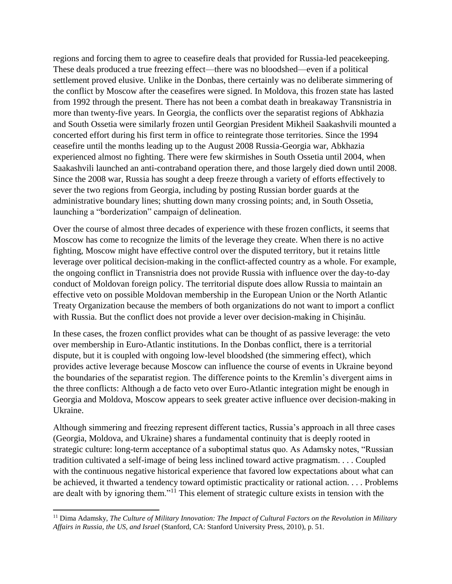regions and forcing them to agree to ceasefire deals that provided for Russia-led peacekeeping. These deals produced a true freezing effect—there was no bloodshed—even if a political settlement proved elusive. Unlike in the Donbas, there certainly was no deliberate simmering of the conflict by Moscow after the ceasefires were signed. In Moldova, this frozen state has lasted from 1992 through the present. There has not been a combat death in breakaway Transnistria in more than twenty-five years. In Georgia, the conflicts over the separatist regions of Abkhazia and South Ossetia were similarly frozen until Georgian President Mikheil Saakashvili mounted a concerted effort during his first term in office to reintegrate those territories. Since the 1994 ceasefire until the months leading up to the August 2008 Russia-Georgia war, Abkhazia experienced almost no fighting. There were few skirmishes in South Ossetia until 2004, when Saakashvili launched an anti-contraband operation there, and those largely died down until 2008. Since the 2008 war, Russia has sought a deep freeze through a variety of efforts effectively to sever the two regions from Georgia, including by posting Russian border guards at the administrative boundary lines; shutting down many crossing points; and, in South Ossetia, launching a "borderization" campaign of delineation.

Over the course of almost three decades of experience with these frozen conflicts, it seems that Moscow has come to recognize the limits of the leverage they create. When there is no active fighting, Moscow might have effective control over the disputed territory, but it retains little leverage over political decision-making in the conflict-affected country as a whole. For example, the ongoing conflict in Transnistria does not provide Russia with influence over the day-to-day conduct of Moldovan foreign policy. The territorial dispute does allow Russia to maintain an effective veto on possible Moldovan membership in the European Union or the North Atlantic Treaty Organization because the members of both organizations do not want to import a conflict with Russia. But the conflict does not provide a lever over decision-making in Chișinău.

In these cases, the frozen conflict provides what can be thought of as passive leverage: the veto over membership in Euro-Atlantic institutions. In the Donbas conflict, there is a territorial dispute, but it is coupled with ongoing low-level bloodshed (the simmering effect), which provides active leverage because Moscow can influence the course of events in Ukraine beyond the boundaries of the separatist region. The difference points to the Kremlin's divergent aims in the three conflicts: Although a de facto veto over Euro-Atlantic integration might be enough in Georgia and Moldova, Moscow appears to seek greater active influence over decision-making in Ukraine.

Although simmering and freezing represent different tactics, Russia's approach in all three cases (Georgia, Moldova, and Ukraine) shares a fundamental continuity that is deeply rooted in strategic culture: long-term acceptance of a suboptimal status quo. As Adamsky notes, "Russian tradition cultivated a self-image of being less inclined toward active pragmatism. . . . Coupled with the continuous negative historical experience that favored low expectations about what can be achieved, it thwarted a tendency toward optimistic practicality or rational action. . . . Problems are dealt with by ignoring them."<sup>11</sup> This element of strategic culture exists in tension with the

 $\overline{a}$ 

<sup>11</sup> Dima Adamsky, *The Culture of Military Innovation: The Impact of Cultural Factors on the Revolution in Military Affairs in Russia, the US, and Israel* (Stanford, CA: Stanford University Press, 2010), p. 51.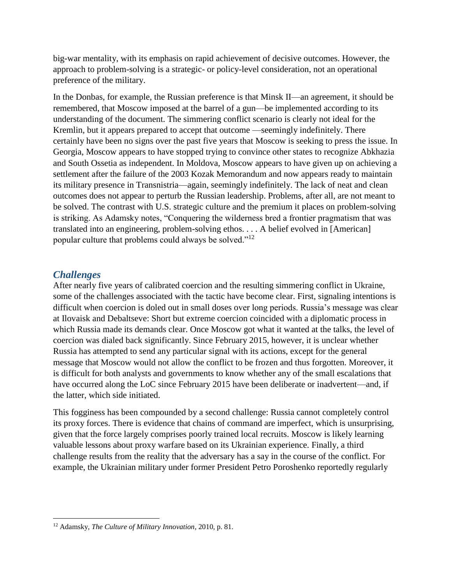big-war mentality, with its emphasis on rapid achievement of decisive outcomes. However, the approach to problem-solving is a strategic- or policy-level consideration, not an operational preference of the military.

In the Donbas, for example, the Russian preference is that Minsk II—an agreement, it should be remembered, that Moscow imposed at the barrel of a gun—be implemented according to its understanding of the document. The simmering conflict scenario is clearly not ideal for the Kremlin, but it appears prepared to accept that outcome —seemingly indefinitely. There certainly have been no signs over the past five years that Moscow is seeking to press the issue. In Georgia, Moscow appears to have stopped trying to convince other states to recognize Abkhazia and South Ossetia as independent. In Moldova, Moscow appears to have given up on achieving a settlement after the failure of the 2003 Kozak Memorandum and now appears ready to maintain its military presence in Transnistria—again, seemingly indefinitely. The lack of neat and clean outcomes does not appear to perturb the Russian leadership. Problems, after all, are not meant to be solved. The contrast with U.S. strategic culture and the premium it places on problem-solving is striking. As Adamsky notes, "Conquering the wilderness bred a frontier pragmatism that was translated into an engineering, problem-solving ethos. . . . A belief evolved in [American] popular culture that problems could always be solved."<sup>12</sup>

#### *Challenges*

After nearly five years of calibrated coercion and the resulting simmering conflict in Ukraine, some of the challenges associated with the tactic have become clear. First, signaling intentions is difficult when coercion is doled out in small doses over long periods. Russia's message was clear at Ilovaisk and Debaltseve: Short but extreme coercion coincided with a diplomatic process in which Russia made its demands clear. Once Moscow got what it wanted at the talks, the level of coercion was dialed back significantly. Since February 2015, however, it is unclear whether Russia has attempted to send any particular signal with its actions, except for the general message that Moscow would not allow the conflict to be frozen and thus forgotten. Moreover, it is difficult for both analysts and governments to know whether any of the small escalations that have occurred along the LoC since February 2015 have been deliberate or inadvertent—and, if the latter, which side initiated.

This fogginess has been compounded by a second challenge: Russia cannot completely control its proxy forces. There is evidence that chains of command are imperfect, which is unsurprising, given that the force largely comprises poorly trained local recruits. Moscow is likely learning valuable lessons about proxy warfare based on its Ukrainian experience. Finally, a third challenge results from the reality that the adversary has a say in the course of the conflict. For example, the Ukrainian military under former President Petro Poroshenko reportedly regularly

 $\overline{\phantom{a}}$ <sup>12</sup> Adamsky, *The Culture of Military Innovation*, 2010, p. 81.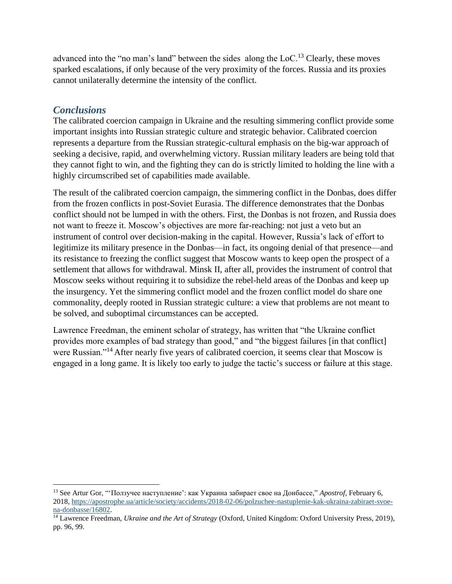advanced into the "no man's land" between the sides along the  $Loc^{13}$  Clearly, these moves sparked escalations, if only because of the very proximity of the forces. Russia and its proxies cannot unilaterally determine the intensity of the conflict.

#### *Conclusions*

l

The calibrated coercion campaign in Ukraine and the resulting simmering conflict provide some important insights into Russian strategic culture and strategic behavior. Calibrated coercion represents a departure from the Russian strategic-cultural emphasis on the big-war approach of seeking a decisive, rapid, and overwhelming victory. Russian military leaders are being told that they cannot fight to win, and the fighting they can do is strictly limited to holding the line with a highly circumscribed set of capabilities made available.

The result of the calibrated coercion campaign, the simmering conflict in the Donbas, does differ from the frozen conflicts in post-Soviet Eurasia. The difference demonstrates that the Donbas conflict should not be lumped in with the others. First, the Donbas is not frozen, and Russia does not want to freeze it. Moscow's objectives are more far-reaching: not just a veto but an instrument of control over decision-making in the capital. However, Russia's lack of effort to legitimize its military presence in the Donbas—in fact, its ongoing denial of that presence—and its resistance to freezing the conflict suggest that Moscow wants to keep open the prospect of a settlement that allows for withdrawal. Minsk II, after all, provides the instrument of control that Moscow seeks without requiring it to subsidize the rebel-held areas of the Donbas and keep up the insurgency. Yet the simmering conflict model and the frozen conflict model do share one commonality, deeply rooted in Russian strategic culture: a view that problems are not meant to be solved, and suboptimal circumstances can be accepted.

Lawrence Freedman, the eminent scholar of strategy, has written that "the Ukraine conflict provides more examples of bad strategy than good," and "the biggest failures [in that conflict] were Russian."<sup>14</sup> After nearly five years of calibrated coercion, it seems clear that Moscow is engaged in a long game. It is likely too early to judge the tactic's success or failure at this stage.

<sup>13</sup> See Artur Gor, "'Ползучее наступление': как Украина забирает свое на Донбассе," *Apostrof*, February 6, 2018, [https://apostrophe.ua/article/society/accidents/2018-02-06/polzuchee-nastuplenie-kak-ukraina-zabiraet-svoe](https://apostrophe.ua/article/society/accidents/2018-02-06/polzuchee-nastuplenie-kak-ukraina-zabiraet-svoe-na-donbasse/16802)[na-donbasse/16802.](https://apostrophe.ua/article/society/accidents/2018-02-06/polzuchee-nastuplenie-kak-ukraina-zabiraet-svoe-na-donbasse/16802)

<sup>14</sup> Lawrence Freedman, *Ukraine and the Art of Strategy* (Oxford, United Kingdom: Oxford University Press, 2019), pp. 96, 99.